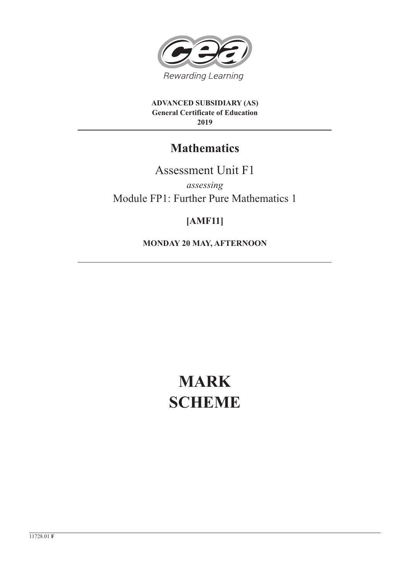

**ADVANCED SUBSIDIARY (AS) General Certificate of Education 2019**

# **Mathematics**

Assessment Unit F1 *assessing* Module FP1: Further Pure Mathematics 1

## **[AMF11]**

**MONDAY 20 MAY, AFTERNOON**

# **MARK SCHEME**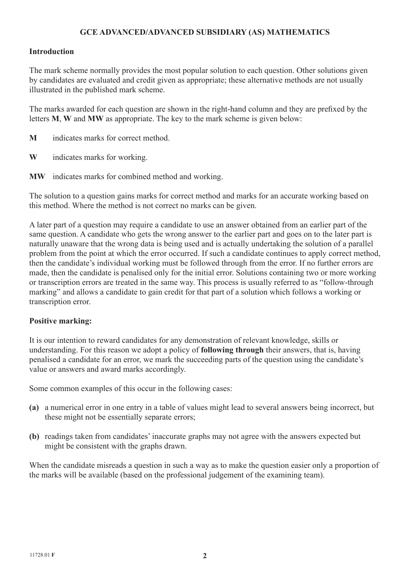### **GCE ADVANCED/ADVANCED SUBSIDIARY (AS) MATHEMATICS**

#### **Introduction**

The mark scheme normally provides the most popular solution to each question. Other solutions given by candidates are evaluated and credit given as appropriate; these alternative methods are not usually illustrated in the published mark scheme.

The marks awarded for each question are shown in the right-hand column and they are prefixed by the letters **M**, **W** and **MW** as appropriate. The key to the mark scheme is given below:

- **M** indicates marks for correct method.
- **W** indicates marks for working.
- **MW** indicates marks for combined method and working.

The solution to a question gains marks for correct method and marks for an accurate working based on this method. Where the method is not correct no marks can be given.

A later part of a question may require a candidate to use an answer obtained from an earlier part of the same question. A candidate who gets the wrong answer to the earlier part and goes on to the later part is naturally unaware that the wrong data is being used and is actually undertaking the solution of a parallel problem from the point at which the error occurred. If such a candidate continues to apply correct method, then the candidate's individual working must be followed through from the error. If no further errors are made, then the candidate is penalised only for the initial error. Solutions containing two or more working or transcription errors are treated in the same way. This process is usually referred to as "follow-through marking" and allows a candidate to gain credit for that part of a solution which follows a working or transcription error.

### **Positive marking:**

It is our intention to reward candidates for any demonstration of relevant knowledge, skills or understanding. For this reason we adopt a policy of **following through** their answers, that is, having penalised a candidate for an error, we mark the succeeding parts of the question using the candidate's value or answers and award marks accordingly.

Some common examples of this occur in the following cases:

- **(a)** a numerical error in one entry in a table of values might lead to several answers being incorrect, but these might not be essentially separate errors;
- **(b)** readings taken from candidates' inaccurate graphs may not agree with the answers expected but might be consistent with the graphs drawn.

When the candidate misreads a question in such a way as to make the question easier only a proportion of the marks will be available (based on the professional judgement of the examining team).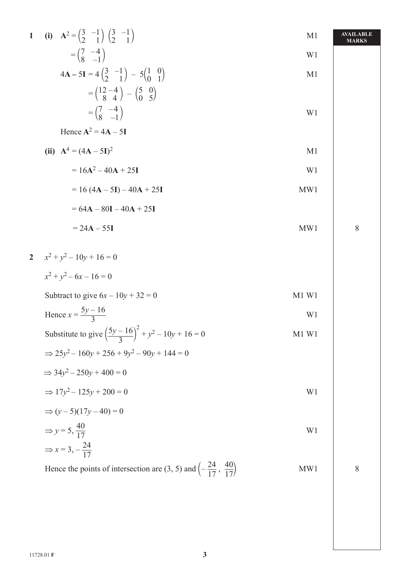| 1 (i) $A^2 = \begin{pmatrix} 3 & -1 \\ 2 & 1 \end{pmatrix} \begin{pmatrix} 3 & -1 \\ 2 & 1 \end{pmatrix}$                    | M <sub>1</sub> | AVAILABLE<br><b>MARKS</b> |
|------------------------------------------------------------------------------------------------------------------------------|----------------|---------------------------|
| $=\begin{pmatrix} 7 & -4 \\ 8 & -1 \end{pmatrix}$                                                                            | W <sub>1</sub> |                           |
| $4\mathbf{A} - 5\mathbf{I} = 4\begin{pmatrix} 3 & -1 \\ 2 & 1 \end{pmatrix} - 5\begin{pmatrix} 1 & 0 \\ 0 & 1 \end{pmatrix}$ | M <sub>1</sub> |                           |
| $=\binom{12-4}{8-4}-\binom{5}{0-5}$                                                                                          |                |                           |
| $=\begin{pmatrix} 7 & -4 \\ 8 & -1 \end{pmatrix}$                                                                            | W <sub>1</sub> |                           |
| Hence $A^2 = 4A - 5I$                                                                                                        |                |                           |
| (ii) $A^4 = (4A - 5I)^2$                                                                                                     | M <sub>1</sub> |                           |
| $= 16A^2 - 40A + 25I$                                                                                                        | W <sub>1</sub> |                           |
| $= 16 (4A - 5I) - 40A + 25I$                                                                                                 | MW1            |                           |
| $= 64A - 80I - 40A + 25I$                                                                                                    |                |                           |
| $= 24A - 55I$                                                                                                                | MW1            | 8                         |
| 2 $x^2 + y^2 - 10y + 16 = 0$                                                                                                 |                |                           |
| $x^2 + y^2 - 6x - 16 = 0$                                                                                                    |                |                           |
| Subtract to give $6x - 10y + 32 = 0$                                                                                         | M1 W1          |                           |
| Hence $x = \frac{5y - 16}{3}$                                                                                                | W <sub>1</sub> |                           |
| Substitute to give $\left(\frac{5y-16}{3}\right)^2 + y^2 - 10y + 16 = 0$                                                     | M1 W1          |                           |
| $\Rightarrow 25y^2 - 160y + 256 + 9y^2 - 90y + 144 = 0$                                                                      |                |                           |
| $\Rightarrow 34y^2 - 250y + 400 = 0$                                                                                         |                |                           |
| $\Rightarrow$ 17y <sup>2</sup> - 125y + 200 = 0                                                                              | W1             |                           |
| $\Rightarrow (y-5)(17y-40) = 0$                                                                                              |                |                           |
| $\Rightarrow y = 5, \frac{40}{17}$                                                                                           | W <sub>1</sub> |                           |
| $\Rightarrow x = 3, -\frac{24}{17}$                                                                                          |                |                           |
| Hence the points of intersection are (3, 5) and $\left(-\frac{24}{17}, \frac{40}{17}\right)$                                 | MW1            | 8                         |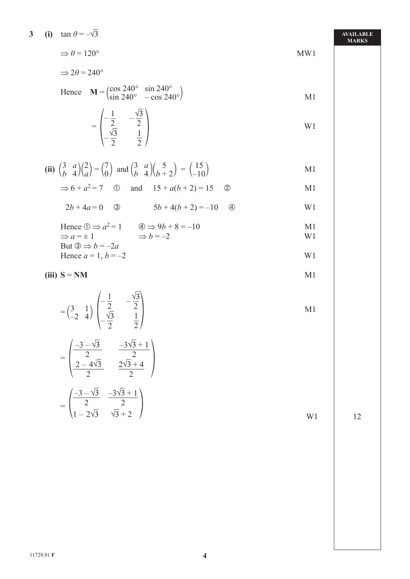$$
f_{\rm{max}}
$$

11728.01 **F**

 $-\frac{v}{2}$ 2

(ii) 
$$
\begin{pmatrix} 3 & a \\ b & 4 \end{pmatrix} \begin{pmatrix} 2 \\ a \end{pmatrix} = \begin{pmatrix} 7 \\ 0 \end{pmatrix}
$$
 and  $\begin{pmatrix} 3 & a \\ b & 4 \end{pmatrix} \begin{pmatrix} 5 \\ b+2 \end{pmatrix} = \begin{pmatrix} 15 \\ -10 \end{pmatrix}$  M1

$$
\Rightarrow
$$
 6 + a<sup>2</sup> = 7 ① and 15 + a(b+2) = 15 ② M1

$$
2b + 4a = 0 \t\t 3 \t\t 5b + 4(b+2) = -10 \t\t 40 \t\t 10
$$

Hence 
$$
\textcircled{1} \Rightarrow a^2 = 1
$$
  $\textcircled{4} \Rightarrow 9b + 8 = -10$    
\n $\Rightarrow a = \pm 1$   $\Rightarrow b = -2$    
\nBut  $\textcircled{3} \Rightarrow b = -2a$    
\nHence  $a = 1, b = -2$    
\nW1   
\nW1

(iii) 
$$
S = NM
$$

**3** (i)  $\tan \theta = -\sqrt{3}$ 

 $\Rightarrow$  2 $\theta$  = 240°

Hence

$$
= \begin{pmatrix} 3 & 1 \\ -2 & 4 \end{pmatrix} \begin{pmatrix} -\frac{1}{2} & -\frac{\sqrt{3}}{2} \\ -\frac{\sqrt{3}}{2} & \frac{1}{2} \end{pmatrix}
$$
   
\n
$$
= \begin{pmatrix} \frac{-3-\sqrt{3}}{2} & \frac{-3\sqrt{3}+1}{2} \\ \frac{2-4\sqrt{3}}{2} & \frac{2\sqrt{3}+4}{2} \end{pmatrix}
$$
   
\n
$$
= \begin{pmatrix} \frac{-3-\sqrt{3}}{2} & \frac{-3\sqrt{3}+1}{2} \\ 1-2\sqrt{3} & \frac{\sqrt{3}+2}{2} \end{pmatrix}
$$
   
\n
$$
= \begin{pmatrix} 1 & 0 & 0 \\ 0 & 1 & 0 \\ 0 & 0 & 0 \end{pmatrix}
$$

Hence 
$$
\mathbf{M} = \begin{pmatrix} \cos 240^{\circ} & \sin 240^{\circ} \\ \sin 240^{\circ} & -\cos 240^{\circ} \end{pmatrix}
$$
 M1

 $\Rightarrow \theta = 120^{\circ}$  MW1

$$
= \begin{pmatrix} -\frac{1}{2} & -\frac{\sqrt{3}}{2} \\ -\frac{\sqrt{3}}{2} & \frac{1}{2} \end{pmatrix}
$$

**AVAILABLE MARKS**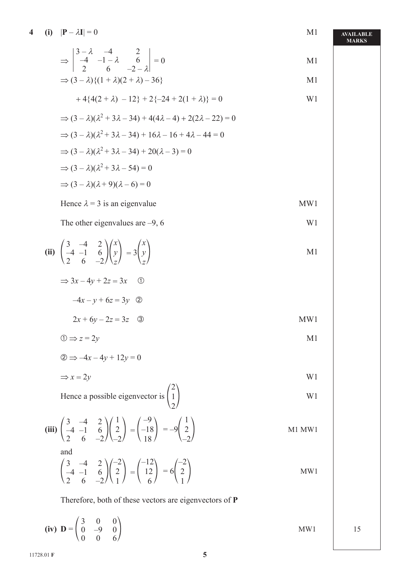$$
\Rightarrow \begin{vmatrix} 3-\lambda & -4 & 2 \\ -4 & -1-\lambda & 6 \\ 2 & 6 & -2-\lambda \end{vmatrix} = 0
$$

$$
\Rightarrow (3 - \lambda)\{(1 + \lambda)(2 + \lambda) - 36\}
$$

$$
+4\{4(2+\lambda)-12\}+2\{-24+2(1+\lambda)\}=0
$$
 W1

$$
\Rightarrow (3 - \lambda)(\lambda^2 + 3\lambda - 34) + 4(4\lambda - 4) + 2(2\lambda - 22) = 0
$$
  
\n
$$
\Rightarrow (3 - \lambda)(\lambda^2 + 3\lambda - 34) + 16\lambda - 16 + 4\lambda - 44 = 0
$$
  
\n
$$
\Rightarrow (3 - \lambda)(\lambda^2 + 3\lambda - 34) + 20(\lambda - 3) = 0
$$
  
\n
$$
\Rightarrow (3 - \lambda)(\lambda^2 + 3\lambda - 54) = 0
$$
  
\n
$$
\Rightarrow (3 - \lambda)(\lambda + 9)(\lambda - 6) = 0
$$

Hence 
$$
\lambda = 3
$$
 is an eigenvalue MW1

The other eigenvalues are  $-9$ , 6 W1

(ii) 
$$
\begin{pmatrix} 3 & -4 & 2 \\ -4 & -1 & 6 \\ 2 & 6 & -2 \end{pmatrix} \begin{pmatrix} x \\ y \\ z \end{pmatrix} = 3 \begin{pmatrix} x \\ y \\ z \end{pmatrix}
$$
 M1

$$
\Rightarrow 3x - 4y + 2z = 3x \quad \textcircled{1}
$$

$$
-4x - y + 6z = 3y \quad \textcircled{2}
$$

$$
2x + 6y - 2z = 3z \quad \textcircled{3}
$$
 MW1

$$
\textcircled{1} \Rightarrow z = 2y \tag{M1}
$$

$$
2 \implies -4x - 4y + 12y = 0
$$

$$
\Rightarrow x = 2y
$$

Hence a possible eigenvector is 
$$
\begin{pmatrix} 2 \\ 1 \\ 2 \end{pmatrix}
$$
 W1

(iii) 
$$
\begin{pmatrix} 3 & -4 & 2 \\ -4 & -1 & 6 \\ 2 & 6 & -2 \end{pmatrix} \begin{pmatrix} 1 \\ 2 \\ -2 \end{pmatrix} = \begin{pmatrix} -9 \\ -18 \\ 18 \end{pmatrix} = -9 \begin{pmatrix} 1 \\ 2 \\ -2 \end{pmatrix}
$$
 M1 MW1

and

$$
\begin{pmatrix} 3 & -4 & 2 \ -4 & -1 & 6 \ 2 & 6 & -2 \ \end{pmatrix} \begin{pmatrix} -2 \ 2 \ 1 \end{pmatrix} = \begin{pmatrix} -12 \ 12 \ 6 \end{pmatrix} = 6 \begin{pmatrix} -2 \ 2 \ 1 \end{pmatrix}
$$
 MW1

Therefore, both of these vectors are eigenvectors of **P**

(iv) 
$$
\mathbf{D} = \begin{pmatrix} 3 & 0 & 0 \\ 0 & -9 & 0 \\ 0 & 0 & 6 \end{pmatrix}
$$
 MW1 15

**AVAILABLE MARKS**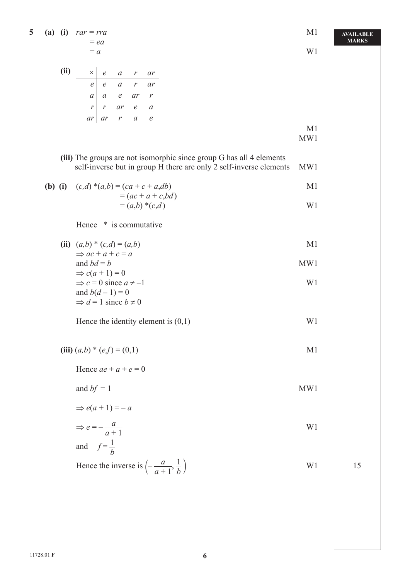**(ii)** *× e a r ar e e a r ar a a e ar r r r ar e a ar ar r a e* M1 MW1 **(iii)** The groups are not isomorphic since group G has all 4 elements self-inverse but in group H there are only 2 self-inverse elements MW1 **(b)** (i)  $(c,d) * (a,b) = (ca + c + a, db)$  M1  $= (ac + a + c, bd)$  $=(a,b) * (c,d)$  W1 Hence \* is commutative **(ii)**  $(a,b) * (c,d) = (a,b)$  M1  $\Rightarrow$  *ac* + *a* + *c* = *a* and  $bd = b$  MW1  $\Rightarrow$  *c*(*a* + 1) = 0  $\Rightarrow$  *c* = 0 since *a*  $\neq$  -1 and  $b(d - 1) = 0$  $\Rightarrow$  *d* = 1 since *b*  $\neq$  0 Hence the identity element is  $(0,1)$  W1 (iii)  $(a,b) * (e,f) = (0,1)$  M1 Hence  $ae + a + e = 0$ and  $bf = 1$  MW1  $\Rightarrow$  *e*(*a* + 1) = – *a*  $\Rightarrow e = -\frac{a}{a}$ *a* + 1 w<sub>1</sub> and  $f = \frac{1}{1}$ *b* Hence the inverse is  $\left(-\frac{a}{a+1}, \frac{1}{b}\right)$  $\frac{1}{b}$  l W1 15

**5** (a) (i)  $rar = rra$  M1

= *ea*

 $= a$  W1

**AVAILABLE MARKS**

$$
f_{\rm{max}}
$$